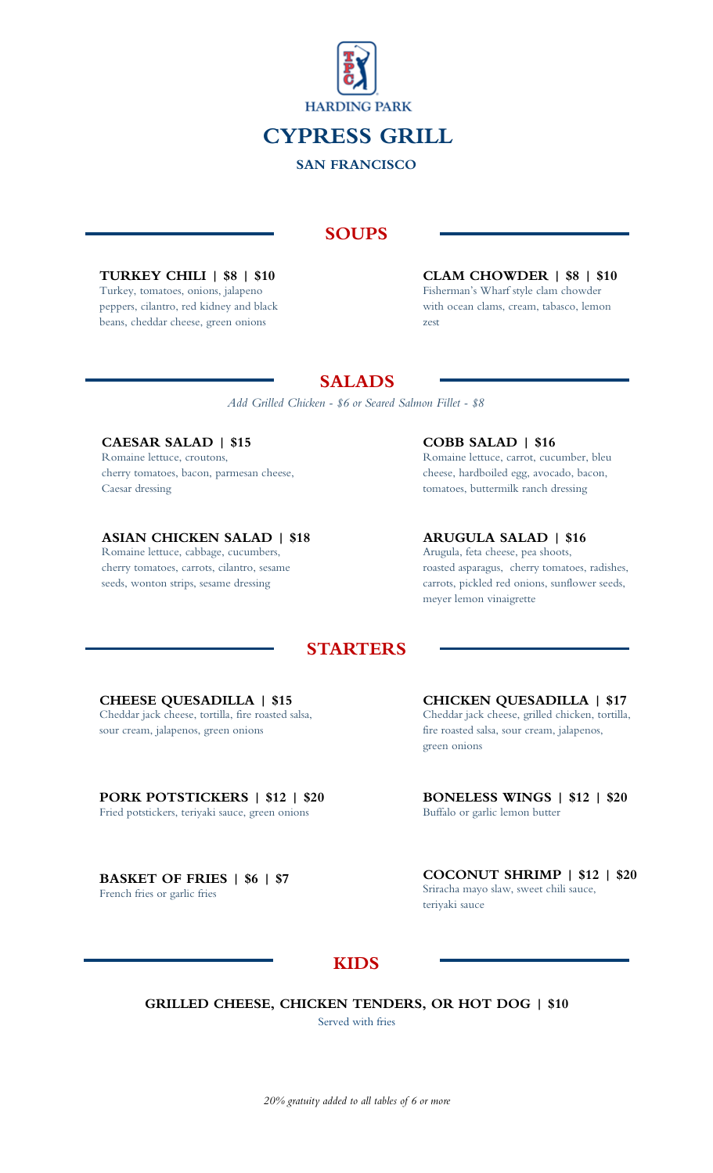

**CYPRESS GRILL**

**SAN FRANCISCO**

## **SOUPS**

**TURKEY CHILI | \$8 | \$10** Turkey, tomatoes, onions, jalapeno peppers, cilantro, red kidney and black beans, cheddar cheese, green onions

**CLAM CHOWDER | \$8 | \$10** Fisherman's Wharf style clam chowder with ocean clams, cream, tabasco, lemon zest

# **SALADS**

*Add Grilled Chicken - \$6 or Seared Salmon Fillet - \$8*

**CAESAR SALAD | \$15** Romaine lettuce, croutons, cherry tomatoes, bacon, parmesan cheese, Caesar dressing

**ASIAN CHICKEN SALAD | \$18** Romaine lettuce, cabbage, cucumbers, cherry tomatoes, carrots, cilantro, sesame

seeds, wonton strips, sesame dressing

**COBB SALAD | \$16** Romaine lettuce, carrot, cucumber, bleu cheese, hardboiled egg, avocado, bacon, tomatoes, buttermilk ranch dressing

**ARUGULA SALAD | \$16** Arugula, feta cheese, pea shoots, roasted asparagus, cherry tomatoes, radishes, carrots, pickled red onions, sunflower seeds,

meyer lemon vinaigrette

# **STARTERS**

#### **CHEESE QUESADILLA | \$15**

Cheddar jack cheese, tortilla, fire roasted salsa, sour cream, jalapenos, green onions

# **PORK POTSTICKERS | \$12 | \$20**

Fried potstickers, teriyaki sauce, green onions

**BASKET OF FRIES | \$6 | \$7** French fries or garlic fries

**CHICKEN QUESADILLA | \$17** Cheddar jack cheese, grilled chicken, tortilla, fire roasted salsa, sour cream, jalapenos, green onions

**BONELESS WINGS | \$12 | \$20** Buffalo or garlic lemon butter

**COCONUT SHRIMP | \$12 | \$20** Sriracha mayo slaw, sweet chili sauce, teriyaki sauce

# **KIDS**

**GRILLED CHEESE, CHICKEN TENDERS, OR HOT DOG | \$10** Served with fries